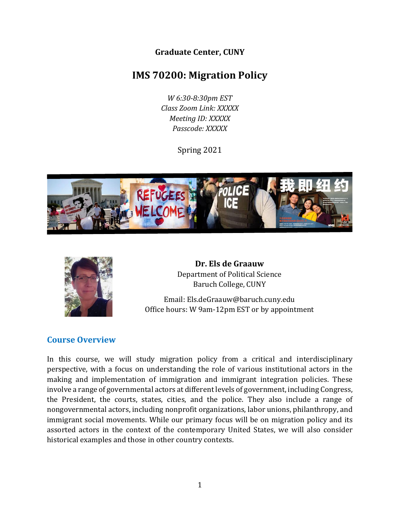**Graduate Center, CUNY**

# **IMS 70200: Migration Policy**

*W 6:30-8:30pm EST Class Zoom Link: XXXXX Meeting ID: XXXXX Passcode: XXXXX*

Spring 2021





**Dr. Els de Graauw** Department of Political Science Baruch College, CUNY

Email: Els.deGraauw@baruch.cuny.edu Office hours: W 9am-12pm EST or by appointment

#### **Course Overview**

In this course, we will study migration policy from a critical and interdisciplinary perspective, with a focus on understanding the role of various institutional actors in the making and implementation of immigration and immigrant integration policies. These involve a range of governmental actors at different levels of government, including Congress, the President, the courts, states, cities, and the police. They also include a range of nongovernmental actors, including nonprofit organizations, labor unions, philanthropy, and immigrant social movements. While our primary focus will be on migration policy and its assorted actors in the context of the contemporary United States, we will also consider historical examples and those in other country contexts.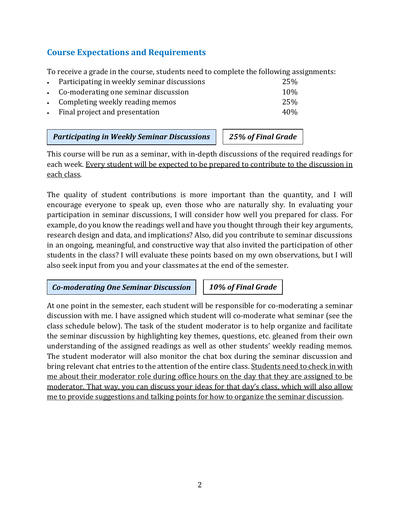### **Course Expectations and Requirements**

To receive a grade in the course, students need to complete the following assignments:

| • Participating in weekly seminar discussions | 25%             |
|-----------------------------------------------|-----------------|
| • Co-moderating one seminar discussion        | 10 <sub>%</sub> |
| • Completing weekly reading memos             | 25%             |
| • Final project and presentation              | 40\%            |

*Participating in Weekly Seminar Discussions 25% of Final Grade*

This course will be run as a seminar, with in-depth discussions of the required readings for each week. Every student will be expected to be prepared to contribute to the discussion in each class.

The quality of student contributions is more important than the quantity, and I will encourage everyone to speak up, even those who are naturally shy. In evaluating your participation in seminar discussions, I will consider how well you prepared for class. For example, do you know the readings well and have you thought through their key arguments, research design and data, and implications? Also, did you contribute to seminar discussions in an ongoing, meaningful, and constructive way that also invited the participation of other students in the class? I will evaluate these points based on my own observations, but I will also seek input from you and your classmates at the end of the semester.

*Co-moderating One Seminar Discussion 10% of Final Grade*

At one point in the semester, each student will be responsible for co-moderating a seminar discussion with me. I have assigned which student will co-moderate what seminar (see the class schedule below). The task of the student moderator is to help organize and facilitate the seminar discussion by highlighting key themes, questions, etc. gleaned from their own understanding of the assigned readings as well as other students' weekly reading memos. The student moderator will also monitor the chat box during the seminar discussion and bring relevant chat entries to the attention of the entire class. Students need to check in with me about their moderator role during office hours on the day that they are assigned to be moderator. That way, you can discuss your ideas for that day's class, which will also allow me to provide suggestions and talking points for how to organize the seminar discussion.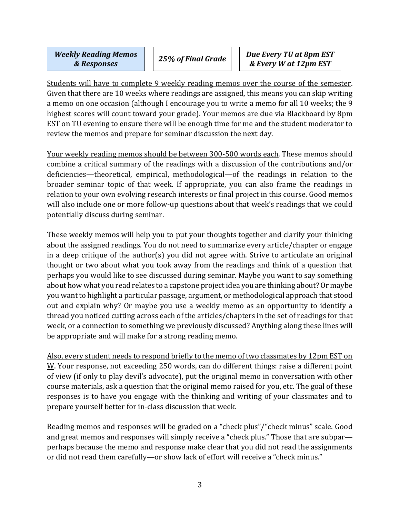*Weekly Reading Memos* 

Students will have to complete 9 weekly reading memos over the course of the semester. Given that there are 10 weeks where readings are assigned, this means you can skip writing a memo on one occasion (although I encourage you to write a memo for all 10 weeks; the 9 highest scores will count toward your grade). Your memos are due via Blackboard by 8pm EST on TU evening to ensure there will be enough time for me and the student moderator to review the memos and prepare for seminar discussion the next day.

Your weekly reading memos should be between 300-500 words each. These memos should combine a critical summary of the readings with a discussion of the contributions and/or deficiencies—theoretical, empirical, methodological—of the readings in relation to the broader seminar topic of that week. If appropriate, you can also frame the readings in relation to your own evolving research interests or final project in this course. Good memos will also include one or more follow-up questions about that week's readings that we could potentially discuss during seminar.

These weekly memos will help you to put your thoughts together and clarify your thinking about the assigned readings. You do not need to summarize every article/chapter or engage in a deep critique of the author(s) you did not agree with. Strive to articulate an original thought or two about what you took away from the readings and think of a question that perhaps you would like to see discussed during seminar. Maybe you want to say something about how what you read relates to a capstone projectidea you are thinking about? Or maybe you want to highlight a particular passage, argument, or methodological approach that stood out and explain why? Or maybe you use a weekly memo as an opportunity to identify a thread you noticed cutting across each of the articles/chapters in the set of readings for that week, or a connection to something we previously discussed? Anything along these lines will be appropriate and will make for a strong reading memo.

Also, every student needs to respond briefly to the memo of two classmates by 12pm EST on W. Your response, not exceeding 250 words, can do different things: raise a different point of view (if only to play devil's advocate), put the original memo in conversation with other course materials, ask a question that the original memo raised for you, etc. The goal of these responses is to have you engage with the thinking and writing of your classmates and to prepare yourself better for in-class discussion that week.

Reading memos and responses will be graded on a "check plus"/"check minus" scale. Good and great memos and responses will simply receive a "check plus." Those that are subpar perhaps because the memo and response make clear that you did not read the assignments or did not read them carefully—or show lack of effort will receive a "check minus."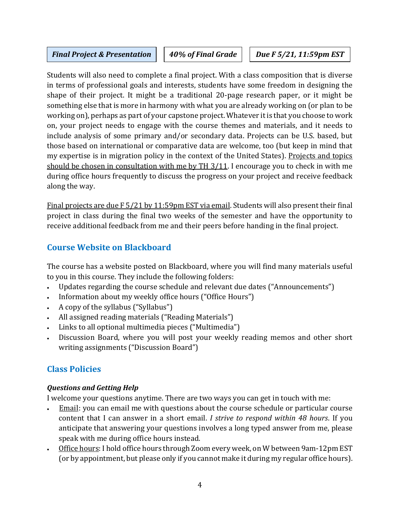#### *Final Project & Presentation* | | 40% of Final Grade | | Due F 5/21, 11:59pm EST

*EST*

Students will also need to complete a final project. With a class composition that is diverse in terms of professional goals and interests, students have some freedom in designing the shape of their project. It might be a traditional 20-page research paper, or it might be something else that is more in harmony with what you are already working on (or plan to be working on), perhaps as part of your capstone project. Whatever it is that you choose to work on, your project needs to engage with the course themes and materials, and it needs to include analysis of some primary and/or secondary data. Projects can be U.S. based, but those based on international or comparative data are welcome, too (but keep in mind that my expertise is in migration policy in the context of the United States). Projects and topics should be chosen in consultation with me by TH 3/11. I encourage you to check in with me during office hours frequently to discuss the progress on your project and receive feedback along the way.

Final projects are due F 5/21 by 11:59pm EST via email. Students will also present their final project in class during the final two weeks of the semester and have the opportunity to receive additional feedback from me and their peers before handing in the final project.

## **Course Website on Blackboard**

The course has a website posted on Blackboard, where you will find many materials useful to you in this course. They include the following folders:

- Updates regarding the course schedule and relevant due dates ("Announcements")
- Information about my weekly office hours ("Office Hours")
- A copy of the syllabus ("Syllabus")
- All assigned reading materials ("Reading Materials")
- Links to all optional multimedia pieces ("Multimedia")
- Discussion Board, where you will post your weekly reading memos and other short writing assignments ("Discussion Board")

## **Class Policies**

#### *Questions and Getting Help*

I welcome your questions anytime. There are two ways you can get in touch with me:

- Email: you can email me with questions about the course schedule or particular course content that I can answer in a short email. *I strive to respond within 48 hours*. If you anticipate that answering your questions involves a long typed answer from me, please speak with me during office hours instead.
- Office hours: I hold office hours through Zoom every week, on W between 9am-12pm EST (or by appointment, but please only if you cannot make it during my regular office hours).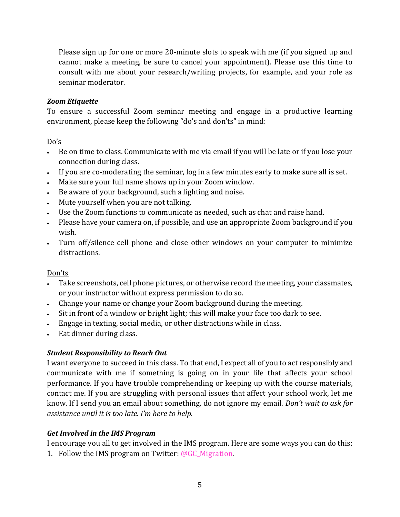Please sign up for one or more 20-minute slots to speak with me (if you signed up and cannot make a meeting, be sure to cancel your appointment). Please use this time to consult with me about your research/writing projects, for example, and your role as seminar moderator*.*

#### *Zoom Etiquette*

To ensure a successful Zoom seminar meeting and engage in a productive learning environment, please keep the following "do's and don'ts" in mind:

#### Do's

- Be on time to class. Communicate with me via email if you will be late or if you lose your connection during class.
- If you are co-moderating the seminar, log in a few minutes early to make sure all is set.
- Make sure your full name shows up in your Zoom window.
- Be aware of your background, such a lighting and noise.
- Mute yourself when you are not talking.
- Use the Zoom functions to communicate as needed, such as chat and raise hand.
- Please have your camera on, if possible, and use an appropriate Zoom background if you wish.
- Turn off/silence cell phone and close other windows on your computer to minimize distractions.

#### Don'ts

- Take screenshots, cell phone pictures, or otherwise record the meeting, your classmates, or your instructor without express permission to do so.
- Change your name or change your Zoom background during the meeting.
- Sit in front of a window or bright light; this will make your face too dark to see.
- Engage in texting, social media, or other distractions while in class.
- Eat dinner during class.

#### *Student Responsibility to Reach Out*

I want everyone to succeed in this class. To that end, I expect all of you to act responsibly and communicate with me if something is going on in your life that affects your school performance. If you have trouble comprehending or keeping up with the course materials, contact me. If you are struggling with personal issues that affect your school work, let me know. If I send you an email about something, do not ignore my email. *Don't wait to ask for assistance until it is too late. I'm here to help.*

#### *Get Involved in the IMS Program*

I encourage you all to get involved in the IMS program. Here are some ways you can do this: 1. Follow the IMS program on Twitter:  $@GC$  Migration.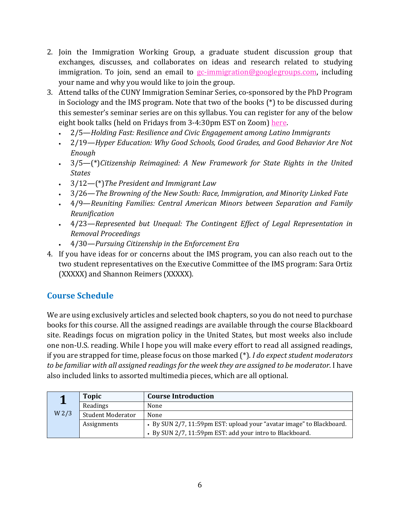- 2. Join the Immigration Working Group, a graduate student discussion group that exchanges, discusses, and collaborates on ideas and research related to studying immigration. To join, send an email to [gc-immigration@googlegroups.com,](mailto:gc-immigration@googlegroups.com) including your name and why you would like to join the group.
- 3. Attend talks of the CUNY Immigration Seminar Series, co-sponsored by the PhD Program in Sociology and the IMS program. Note that two of the books (\*) to be discussed during this semester's seminar series are on this syllabus. You can register for any of the below eight book talks (held on Fridays from 3-4:30pm EST on Zoom) [here.](https://gc-cuny-edu.zoom.us/meeting/register/tZwkceugrDgrGNHWLsHUFIrakub3YlU7yZvA)
	- 2/5—*Holding Fast: Resilience and Civic Engagement among Latino Immigrants*
	- 2/19—*Hyper Education: Why Good Schools, Good Grades, and Good Behavior Are Not Enough*
	- 3/5—(\*)*Citizenship Reimagined: A New Framework for State Rights in the United States*
	- 3/12—(\*)*The President and Immigrant Law*
	- 3/26—*The Browning of the New South: Race, Immigration, and Minority Linked Fate*
	- 4/9—*Reuniting Families: Central American Minors between Separation and Family Reunification*
	- 4/23—*Represented but Unequal: The Contingent Effect of Legal Representation in Removal Proceedings*
	- 4/30—*Pursuing Citizenship in the Enforcement Era*
- 4. If you have ideas for or concerns about the IMS program, you can also reach out to the two student representatives on the Executive Committee of the IMS program: Sara Ortiz (XXXXX) and Shannon Reimers (XXXXX).

## **Course Schedule**

We are using exclusively articles and selected book chapters, so you do not need to purchase books for this course. All the assigned readings are available through the course Blackboard site. Readings focus on migration policy in the United States, but most weeks also include one non-U.S. reading. While I hope you will make every effort to read all assigned readings, if you are strapped for time, please focus on those marked (\*). *I do expect student moderators to be familiar with all assigned readings for the week they are assigned to be moderator.* I have also included links to assorted multimedia pieces, which are all optional.

|                  | <b>Topic</b>             | <b>Course Introduction</b>                                           |
|------------------|--------------------------|----------------------------------------------------------------------|
|                  | Readings                 | None                                                                 |
| W <sub>2/3</sub> | <b>Student Moderator</b> | None                                                                 |
|                  | Assignments              | • By SUN 2/7, 11:59pm EST: upload your "avatar image" to Blackboard. |
|                  |                          | • By SUN 2/7, 11:59pm EST: add your intro to Blackboard.             |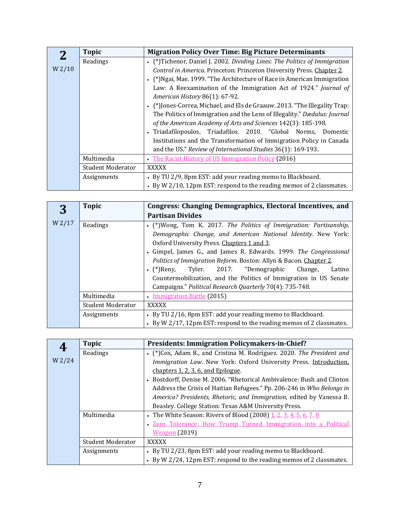|                    | <b>Topic</b>             | <b>Migration Policy Over Time: Big Picture Determinants</b>                 |
|--------------------|--------------------------|-----------------------------------------------------------------------------|
|                    | Readings                 | • (*)Tichenor, Daniel J. 2002. Dividing Lines: The Politics of Immigration  |
| W <sub>2</sub> /10 |                          | Control in America. Princeton: Princeton University Press. Chapter 2.       |
|                    |                          | • (*) Ngai, Mae. 1999. "The Architecture of Race in American Immigration    |
|                    |                          | Law: A Reexamination of the Immigration Act of 1924." Journal of            |
|                    |                          | American History 86(1): 67-92.                                              |
|                    |                          | • (*) Jones-Correa, Michael, and Els de Graauw. 2013. "The Illegality Trap: |
|                    |                          | The Politics of Immigration and the Lens of Illegality." Dædalus: Journal   |
|                    |                          | of the American Academy of Arts and Sciences 142(3): 185-198.               |
|                    |                          | • Triadafilopoulos, Triadafilos. 2010. "Global Norms,<br>Domestic           |
|                    |                          | Institutions and the Transformation of Immigration Policy in Canada         |
|                    |                          | and the US." Review of International Studies 36(1): 169-193.                |
|                    | Multimedia               | • The Racist History of US Immigration Policy (2016)                        |
|                    | <b>Student Moderator</b> | <b>XXXXX</b>                                                                |
|                    | Assignments              | • By TU 2/9, 8pm EST: add your reading memo to Blackboard.                  |
|                    |                          | • By W 2/10, 12pm EST: respond to the reading memos of 2 classmates.        |

| 3      | <b>Topic</b>             | Congress: Changing Demographics, Electoral Incentives, and           |
|--------|--------------------------|----------------------------------------------------------------------|
|        |                          | <b>Partisan Divides</b>                                              |
| W 2/17 | Readings                 | • (*) Wong, Tom K. 2017. The Politics of Immigration: Partisanship,  |
|        |                          | Demographic Change, and American National Identity. New York:        |
|        |                          | Oxford University Press. Chapters 1 and 3.                           |
|        |                          | • Gimpel, James G., and James R. Edwards. 1999. The Congressional    |
|        |                          | Politics of Immigration Reform. Boston: Allyn & Bacon. Chapter 2.    |
|        |                          | • (*)Reny, Tyler. 2017. "Demographic<br>Change,<br>Latino            |
|        |                          | Countermobilization, and the Politics of Immigration in US Senate    |
|        |                          | Campaigns." Political Research Quarterly 70(4): 735-748.             |
|        | Multimedia               | • Immigration Battle (2015)                                          |
|        | <b>Student Moderator</b> | <b>XXXXX</b>                                                         |
|        | Assignments              | • By TU 2/16, 8pm EST: add your reading memo to Blackboard.          |
|        |                          | • By W 2/17, 12pm EST: respond to the reading memos of 2 classmates. |

|        | <b>Topic</b>             | Presidents: Immigration Policymakers-in-Chief?                         |
|--------|--------------------------|------------------------------------------------------------------------|
|        | Readings                 | • (*)Cox, Adam B., and Cristina M. Rodríguez. 2020. The President and  |
| W 2/24 |                          | Immigration Law. New York: Oxford University Press. Introduction,      |
|        |                          | chapters 1, 2, 3, 6, and Epilogue.                                     |
|        |                          | • Bostdorff, Denise M. 2006. "Rhetorical Ambivalence: Bush and Clinton |
|        |                          | Address the Crisis of Haitian Refugees." Pp. 206-246 in Who Belongs in |
|        |                          | America? Presidents, Rhetoric, and Immigration, edited by Vanessa B.   |
|        |                          | Beasley. College Station: Texas A&M University Press.                  |
|        | Multimedia               | • The White Season: Rivers of Blood (2008) 1, 2, 3, 4, 5, 6, 7, 8      |
|        |                          | • Zero Tolerance: How Trump Turned Immigration into a Political        |
|        |                          | <b>Weapon</b> (2019)                                                   |
|        | <b>Student Moderator</b> | <b>XXXXX</b>                                                           |
|        | Assignments              | • By TU 2/23, 8pm EST: add your reading memo to Blackboard.            |
|        |                          | • By W 2/24, 12pm EST: respond to the reading memos of 2 classmates.   |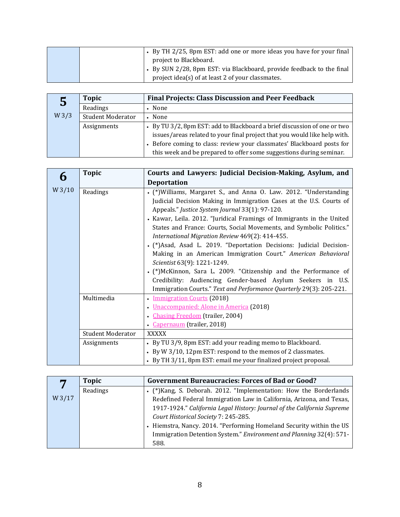| • By TH 2/25, 8pm EST: add one or more ideas you have for your final  |
|-----------------------------------------------------------------------|
| project to Blackboard.                                                |
| • By SUN 2/28, 8pm EST: via Blackboard, provide feedback to the final |
| project idea(s) of at least 2 of your classmates.                     |

| 5                | <b>Topic</b>             | <b>Final Projects: Class Discussion and Peer Feedback</b>                 |
|------------------|--------------------------|---------------------------------------------------------------------------|
|                  | Readings                 | • None                                                                    |
| W <sub>3/3</sub> | <b>Student Moderator</b> | • None                                                                    |
|                  | Assignments              | • By TU 3/2, 8pm EST: add to Blackboard a brief discussion of one or two  |
|                  |                          | issues/areas related to your final project that you would like help with. |
|                  |                          | • Before coming to class: review your classmates' Blackboard posts for    |
|                  |                          | this week and be prepared to offer some suggestions during seminar.       |

|       | <b>Topic</b>             | Courts and Lawyers: Judicial Decision-Making, Asylum, and             |
|-------|--------------------------|-----------------------------------------------------------------------|
|       |                          | <b>Deportation</b>                                                    |
| W3/10 | Readings                 | • (*) Williams, Margaret S., and Anna O. Law. 2012. "Understanding    |
|       |                          | Judicial Decision Making in Immigration Cases at the U.S. Courts of   |
|       |                          | Appeals." Justice System Journal 33(1): 97-120.                       |
|       |                          | • Kawar, Leila. 2012. "Juridical Framings of Immigrants in the United |
|       |                          | States and France: Courts, Social Movements, and Symbolic Politics."  |
|       |                          | International Migration Review 469(2): 414-455.                       |
|       |                          | • (*) Asad, Asad L. 2019. "Deportation Decisions: Judicial Decision-  |
|       |                          | Making in an American Immigration Court." American Behavioral         |
|       |                          | Scientist 63(9): 1221-1249.                                           |
|       |                          | • (*)McKinnon, Sara L. 2009. "Citizenship and the Performance of      |
|       |                          | Credibility: Audiencing Gender-based Asylum Seekers in U.S.           |
|       |                          | Immigration Courts." Text and Performance Quarterly 29(3): 205-221.   |
|       | Multimedia               | <b>Immigration Courts (2018)</b>                                      |
|       |                          | • Unaccompanied: Alone in America (2018)                              |
|       |                          | Chasing Freedom (trailer, 2004)                                       |
|       |                          | • Capernaum (trailer, 2018)                                           |
|       | <b>Student Moderator</b> | <b>XXXXX</b>                                                          |
|       | Assignments              | • By TU 3/9, 8pm EST: add your reading memo to Blackboard.            |
|       |                          | • By W 3/10, 12pm EST: respond to the memos of 2 classmates.          |
|       |                          | • By TH 3/11, 8pm EST: email me your finalized project proposal.      |

|        | Topic    | <b>Government Bureaucracies: Forces of Bad or Good?</b>                 |
|--------|----------|-------------------------------------------------------------------------|
|        | Readings | • (*) Kang, S. Deborah. 2012. "Implementation: How the Borderlands      |
| W 3/17 |          | Redefined Federal Immigration Law in California, Arizona, and Texas,    |
|        |          | 1917-1924." California Legal History: Journal of the California Supreme |
|        |          | Court Historical Society 7: 245-285.                                    |
|        |          | • Hiemstra, Nancy. 2014. "Performing Homeland Security within the US    |
|        |          | Immigration Detention System." Environment and Planning 32(4): 571-     |
|        |          | 588.                                                                    |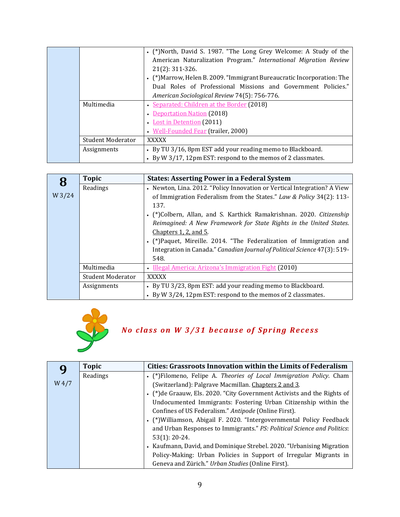|                          | • (*)North, David S. 1987. "The Long Grey Welcome: A Study of the       |
|--------------------------|-------------------------------------------------------------------------|
|                          | American Naturalization Program." International Migration Review        |
|                          | $21(2): 311-326.$                                                       |
|                          | • (*) Marrow, Helen B. 2009. "Immigrant Bureaucratic Incorporation: The |
|                          | Dual Roles of Professional Missions and Government Policies."           |
|                          | American Sociological Review 74(5): 756-776.                            |
| Multimedia               | • Separated: Children at the Border (2018)                              |
|                          | • Deportation Nation (2018)                                             |
|                          | • Lost in Detention (2011)                                              |
|                          | • Well-Founded Fear (trailer, 2000)                                     |
| <b>Student Moderator</b> | <b>XXXXX</b>                                                            |
| Assignments              | • By TU 3/16, 8pm EST add your reading memo to Blackboard.              |
|                          | • By W 3/17, 12pm EST: respond to the memos of 2 classmates.            |

| 8      | <b>Topic</b>             | <b>States: Asserting Power in a Federal System</b>                           |
|--------|--------------------------|------------------------------------------------------------------------------|
|        | Readings                 | • Newton, Lina. 2012. "Policy Innovation or Vertical Integration? A View     |
| W 3/24 |                          | of Immigration Federalism from the States." Law & Policy 34(2): 113-<br>137. |
|        |                          | • (*)Colbern, Allan, and S. Karthick Ramakrishnan. 2020. Citizenship         |
|        |                          | Reimagined: A New Framework for State Rights in the United States.           |
|        |                          | Chapters $1, 2$ , and $5$ .                                                  |
|        |                          | • (*) Paquet, Mireille. 2014. "The Federalization of Immigration and         |
|        |                          | Integration in Canada." Canadian Journal of Political Science 47(3): 519-    |
|        |                          | 548.                                                                         |
|        | Multimedia               | • Illegal America: Arizona's Immigration Fight (2010)                        |
|        | <b>Student Moderator</b> | <b>XXXXX</b>                                                                 |
|        | Assignments              | • By TU 3/23, 8pm EST: add your reading memo to Blackboard.                  |
|        |                          | • By W 3/24, 12pm EST: respond to the memos of 2 classmates.                 |



# *N o c l a s s o n W 3 / 3 1 b e c a u s e o f S p r i n g R e c e s s*

|          | <b>Topic</b> | <b>Cities: Grassroots Innovation within the Limits of Federalism</b>     |
|----------|--------------|--------------------------------------------------------------------------|
|          | Readings     | • (*)Filomeno, Felipe A. Theories of Local Immigration Policy. Cham      |
| $W\,4/7$ |              | (Switzerland): Palgrave Macmillan. Chapters 2 and 3.                     |
|          |              | • (*) de Graauw, Els. 2020. "City Government Activists and the Rights of |
|          |              | Undocumented Immigrants: Fostering Urban Citizenship within the          |
|          |              | Confines of US Federalism." Antipode (Online First).                     |
|          |              | (*) Williamson, Abigail F. 2020. "Intergovernmental Policy Feedback      |
|          |              | and Urban Responses to Immigrants." PS: Political Science and Politics:  |
|          |              | $53(1): 20-24.$                                                          |
|          |              | • Kaufmann, David, and Dominique Strebel. 2020. "Urbanising Migration    |
|          |              | Policy-Making: Urban Policies in Support of Irregular Migrants in        |
|          |              | Geneva and Zürich." Urban Studies (Online First).                        |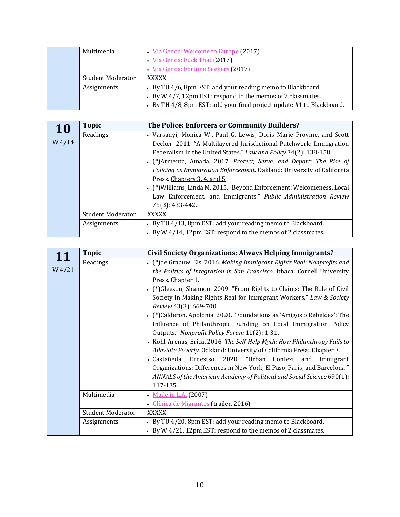| Multimedia               | • Via Genoa: Welcome to Europe (2017)                                 |
|--------------------------|-----------------------------------------------------------------------|
|                          | • Via Genoa: Fuck That (2017)                                         |
|                          | · Via Genoa: Fortune Seekers (2017)                                   |
| <b>Student Moderator</b> | XXXXX                                                                 |
| Assignments              | • By TU 4/6, 8pm EST: add your reading memo to Blackboard.            |
|                          | • By W 4/7, 12pm EST: respond to the memos of 2 classmates.           |
|                          | • By TH 4/8, 8pm EST: add your final project update #1 to Blackboard. |

| <b>10</b> | <b>Topic</b>             | The Police: Enforcers or Community Builders?                           |
|-----------|--------------------------|------------------------------------------------------------------------|
|           | Readings                 | • Varsanyi, Monica W., Paul G. Lewis, Doris Marie Provine, and Scott   |
| $W$ 4/14  |                          | Decker. 2011. "A Multilayered Jurisdictional Patchwork: Immigration    |
|           |                          | Federalism in the United States." Law and Policy 34(2): 138-158.       |
|           |                          | • (*)Armenta, Amada. 2017. Protect, Serve, and Deport: The Rise of     |
|           |                          | Policing as Immigration Enforcement. Oakland: University of California |
|           |                          | Press. Chapters 3, 4, and 5.                                           |
|           |                          | • (*) Williams, Linda M. 2015. "Beyond Enforcement: Welcomeness, Local |
|           |                          | Law Enforcement, and Immigrants." Public Administration Review         |
|           |                          | 75(3): 433-442.                                                        |
|           | <b>Student Moderator</b> | <b>XXXXX</b>                                                           |
|           | Assignments              | • By TU 4/13, 8pm EST: add your reading memo to Blackboard.            |
|           |                          | • By W 4/14, 12pm EST: respond to the memos of 2 classmates.           |

| 11       | <b>Topic</b>             | <b>Civil Society Organizations: Always Helping Immigrants?</b>            |
|----------|--------------------------|---------------------------------------------------------------------------|
|          | Readings                 | • (*) de Graauw, Els. 2016. Making Immigrant Rights Real: Nonprofits and  |
| $W_4/21$ |                          | the Politics of Integration in San Francisco. Ithaca: Cornell University  |
|          |                          | Press. Chapter 1.                                                         |
|          |                          | (*) Gleeson, Shannon. 2009. "From Rights to Claims: The Role of Civil     |
|          |                          | Society in Making Rights Real for Immigrant Workers." Law & Society       |
|          |                          | Review 43(3): 669-700.                                                    |
|          |                          | (*) Calderon, Apolonia. 2020. "Foundations as 'Amigos o Rebeldes': The    |
|          |                          | Influence of Philanthropic Funding on Local Immigration Policy            |
|          |                          | Outputs." Nonprofit Policy Forum 11(2): 1-31.                             |
|          |                          | • Kohl-Arenas, Erica. 2016. The Self-Help Myth: How Philanthropy Fails to |
|          |                          | Alleviate Poverty. Oakland: University of California Press. Chapter 3.    |
|          |                          | • Castañeda, Ernestso. 2020. "Urban Context and Immigrant                 |
|          |                          | Organizations: Differences in New York, El Paso, Paris, and Barcelona."   |
|          |                          | ANNALS of the American Academy of Political and Social Science 690(1):    |
|          |                          | 117-135.                                                                  |
|          | Multimedia               | • Made in L.A. (2007)                                                     |
|          |                          | • Clínica de Migrantes (trailer, 2016)                                    |
|          | <b>Student Moderator</b> | XXXXX                                                                     |
|          | Assignments              | • By TU 4/20, 8pm EST: add your reading memo to Blackboard.               |
|          |                          | • By W 4/21, 12pm EST: respond to the memos of 2 classmates.              |